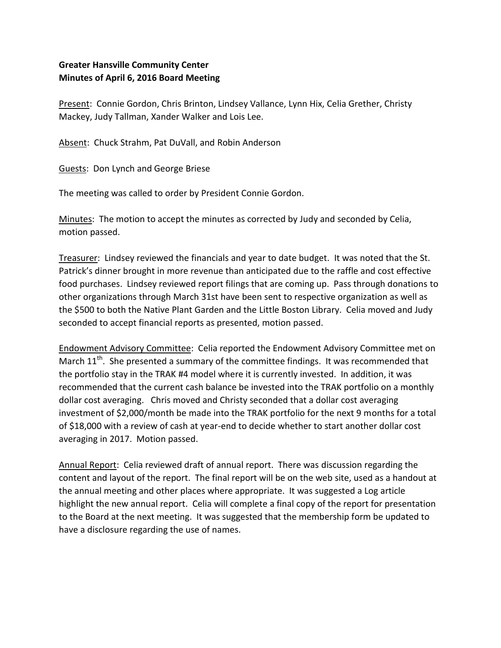## **Greater Hansville Community Center Minutes of April 6, 2016 Board Meeting**

Present: Connie Gordon, Chris Brinton, Lindsey Vallance, Lynn Hix, Celia Grether, Christy Mackey, Judy Tallman, Xander Walker and Lois Lee.

Absent: Chuck Strahm, Pat DuVall, and Robin Anderson

Guests: Don Lynch and George Briese

The meeting was called to order by President Connie Gordon.

Minutes: The motion to accept the minutes as corrected by Judy and seconded by Celia, motion passed.

Treasurer: Lindsey reviewed the financials and year to date budget. It was noted that the St. Patrick's dinner brought in more revenue than anticipated due to the raffle and cost effective food purchases. Lindsey reviewed report filings that are coming up. Pass through donations to other organizations through March 31st have been sent to respective organization as well as the \$500 to both the Native Plant Garden and the Little Boston Library. Celia moved and Judy seconded to accept financial reports as presented, motion passed.

Endowment Advisory Committee: Celia reported the Endowment Advisory Committee met on March  $11<sup>th</sup>$ . She presented a summary of the committee findings. It was recommended that the portfolio stay in the TRAK #4 model where it is currently invested. In addition, it was recommended that the current cash balance be invested into the TRAK portfolio on a monthly dollar cost averaging. Chris moved and Christy seconded that a dollar cost averaging investment of \$2,000/month be made into the TRAK portfolio for the next 9 months for a total of \$18,000 with a review of cash at year-end to decide whether to start another dollar cost averaging in 2017. Motion passed.

Annual Report: Celia reviewed draft of annual report. There was discussion regarding the content and layout of the report. The final report will be on the web site, used as a handout at the annual meeting and other places where appropriate. It was suggested a Log article highlight the new annual report. Celia will complete a final copy of the report for presentation to the Board at the next meeting. It was suggested that the membership form be updated to have a disclosure regarding the use of names.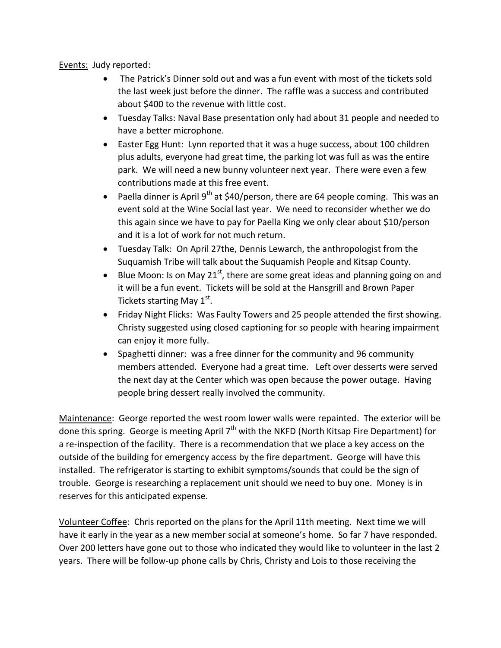Events: Judy reported:

- The Patrick's Dinner sold out and was a fun event with most of the tickets sold the last week just before the dinner. The raffle was a success and contributed about \$400 to the revenue with little cost.
- Tuesday Talks: Naval Base presentation only had about 31 people and needed to have a better microphone.
- Easter Egg Hunt: Lynn reported that it was a huge success, about 100 children plus adults, everyone had great time, the parking lot was full as was the entire park. We will need a new bunny volunteer next year. There were even a few contributions made at this free event.
- **•** Paella dinner is April 9<sup>th</sup> at \$40/person, there are 64 people coming. This was an event sold at the Wine Social last year. We need to reconsider whether we do this again since we have to pay for Paella King we only clear about \$10/person and it is a lot of work for not much return.
- Tuesday Talk: On April 27the, Dennis Lewarch, the anthropologist from the Suquamish Tribe will talk about the Suquamish People and Kitsap County.
- Example Moon: Is on May 21<sup>st</sup>, there are some great ideas and planning going on and it will be a fun event. Tickets will be sold at the Hansgrill and Brown Paper Tickets starting May  $1^\text{st}$ .
- Friday Night Flicks: Was Faulty Towers and 25 people attended the first showing. Christy suggested using closed captioning for so people with hearing impairment can enjoy it more fully.
- Spaghetti dinner: was a free dinner for the community and 96 community members attended. Everyone had a great time. Left over desserts were served the next day at the Center which was open because the power outage. Having people bring dessert really involved the community.

Maintenance: George reported the west room lower walls were repainted. The exterior will be done this spring. George is meeting April  $7<sup>th</sup>$  with the NKFD (North Kitsap Fire Department) for a re-inspection of the facility. There is a recommendation that we place a key access on the outside of the building for emergency access by the fire department. George will have this installed. The refrigerator is starting to exhibit symptoms/sounds that could be the sign of trouble. George is researching a replacement unit should we need to buy one. Money is in reserves for this anticipated expense.

Volunteer Coffee: Chris reported on the plans for the April 11th meeting. Next time we will have it early in the year as a new member social at someone's home. So far 7 have responded. Over 200 letters have gone out to those who indicated they would like to volunteer in the last 2 years. There will be follow-up phone calls by Chris, Christy and Lois to those receiving the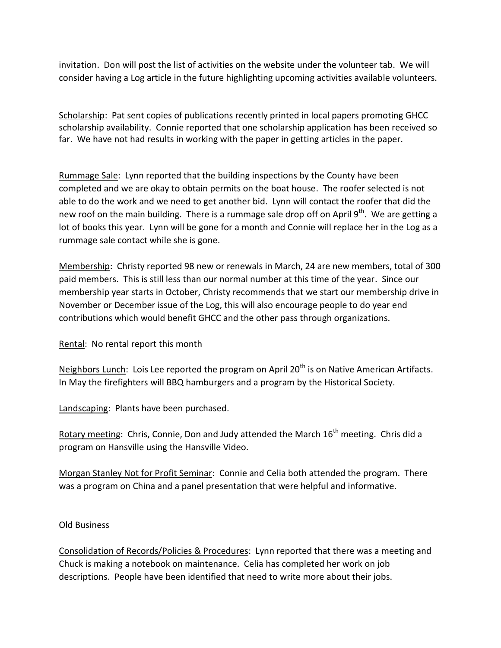invitation. Don will post the list of activities on the website under the volunteer tab. We will consider having a Log article in the future highlighting upcoming activities available volunteers.

Scholarship: Pat sent copies of publications recently printed in local papers promoting GHCC scholarship availability. Connie reported that one scholarship application has been received so far. We have not had results in working with the paper in getting articles in the paper.

Rummage Sale: Lynn reported that the building inspections by the County have been completed and we are okay to obtain permits on the boat house. The roofer selected is not able to do the work and we need to get another bid. Lynn will contact the roofer that did the new roof on the main building. There is a rummage sale drop off on April  $9<sup>th</sup>$ . We are getting a lot of books this year. Lynn will be gone for a month and Connie will replace her in the Log as a rummage sale contact while she is gone.

Membership: Christy reported 98 new or renewals in March, 24 are new members, total of 300 paid members. This is still less than our normal number at this time of the year. Since our membership year starts in October, Christy recommends that we start our membership drive in November or December issue of the Log, this will also encourage people to do year end contributions which would benefit GHCC and the other pass through organizations.

Rental: No rental report this month

Neighbors Lunch: Lois Lee reported the program on April  $20<sup>th</sup>$  is on Native American Artifacts. In May the firefighters will BBQ hamburgers and a program by the Historical Society.

Landscaping: Plants have been purchased.

Rotary meeting: Chris, Connie, Don and Judy attended the March  $16<sup>th</sup>$  meeting. Chris did a program on Hansville using the Hansville Video.

Morgan Stanley Not for Profit Seminar: Connie and Celia both attended the program. There was a program on China and a panel presentation that were helpful and informative.

Old Business

Consolidation of Records/Policies & Procedures: Lynn reported that there was a meeting and Chuck is making a notebook on maintenance. Celia has completed her work on job descriptions. People have been identified that need to write more about their jobs.